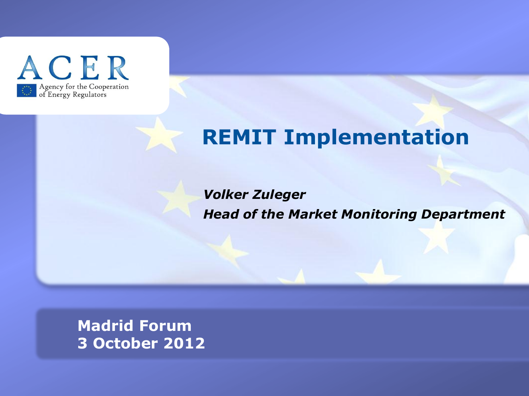

# **REMIT Implementation**

*Volker Zuleger Head of the Market Monitoring Department*

**TITRE 3 October 2012 Madrid Forum**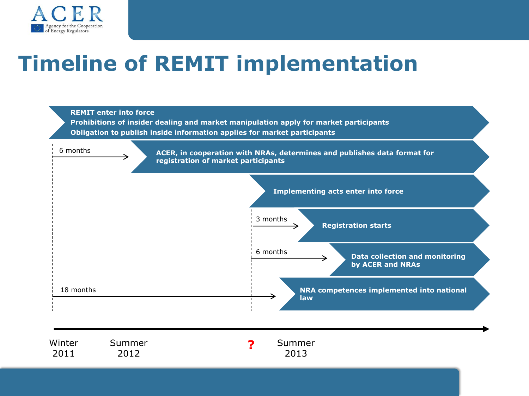

# **Timeline of REMIT implementation**



| Winter | Summer | Summer |
|--------|--------|--------|
| 2011   | 2012   | 2013   |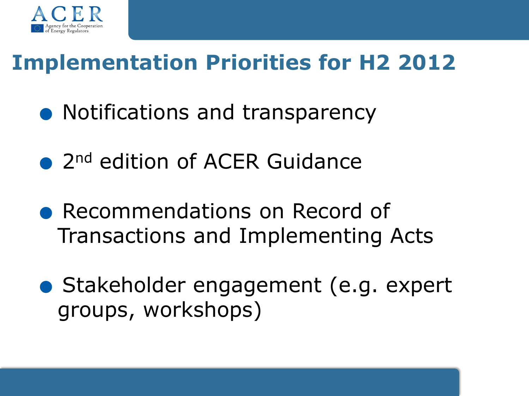

# **Implementation Priorities for H2 2012**<br>
• Notifications and transparency

- Notifications and transparency<br>• 2<sup>nd</sup> edition of ACER Guidance
- 
- Recommendations on Record of Transactions and Implementing Acts
- Stakeholder engagement (e.g. expert groups, workshops)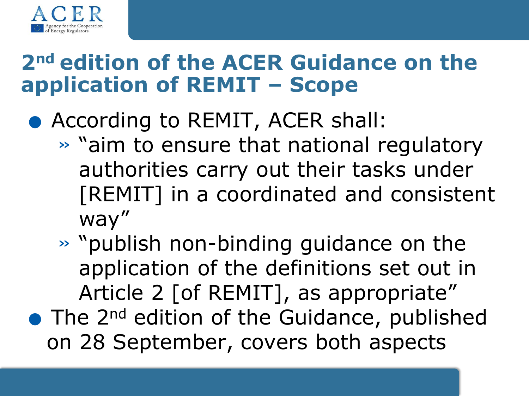

# **2nd edition of the ACER Guidance on the application of REMIT – Scope**

- According to REMIT, ACER shall:
	- » "aim to ensure that national regulatory authorities carry out their tasks under [REMIT] in a coordinated and consistent way"
	- » "publish non-binding guidance on the application of the definitions set out in Article 2 [of REMIT], as appropriate"
- The 2<sup>nd</sup> edition of the Guidance, published on 28 September, covers both aspects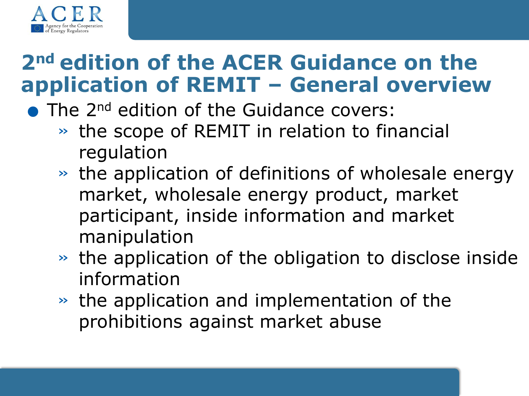

# **2nd edition of the ACER Guidance on the application of REMIT – General overview 2<sup>114</sup> edition of the ACER Guidance<br>application of REMIT – General o**<br>• The 2<sup>nd</sup> edition of the Guidance covers:

- - » the scope of REMIT in relation to financial regulation
	- » the application of definitions of wholesale energy market, wholesale energy product, market participant, inside information and market manipulation
	- » the application of the obligation to disclose inside information
	- » the application and implementation of the prohibitions against market abuse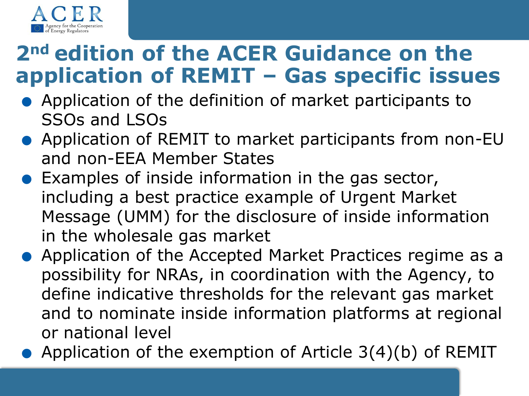

# **2nd edition of the ACER Guidance on the application of REMIT – Gas specific issues application of REMIT – Gas specific issue<br>• Application of the definition of market participants to**

- SSOs and LSOs • Application of the definition of market participants to<br>SSOs and LSOs<br>• Application of REMIT to market participants from non-EU
- and non-EEA Member States ■ Application of REMIT to market participants from<br>
and non-EEA Member States<br>
■ Examples of inside information in the gas sector,<br>
including a bast prestice example of Ursent Marks
	- including a best practice example of Urgent Market Message (UMM) for the disclosure of inside information in the wholesale gas market
- .Application of the Accepted Market Practices regime as a possibility for NRAs, in coordination with the Agency, to define indicative thresholds for the relevant gas market and to nominate inside information platforms at regional or national level
- Application of the exemption of Article  $3(4)(b)$  of REMIT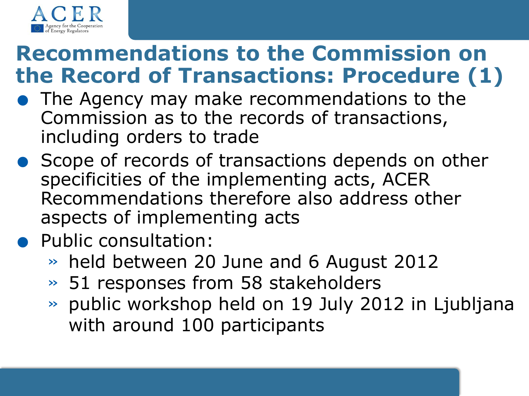

# **Recommendations to the Commission of<br>the Record of Transactions: Procedure (<br>• The Agency may make recommendations to the Commission as to the records of transactions Recommendations to the Commission on the Record of Transactions: Procedure (1)**

- Commission as to the records of transactions, including orders to trade
- **Scope of records of transactions depends on other** specificities of the implementing acts, ACER Recommendations therefore also address other aspects of implementing acts

# **Public consultation:**

- » held between 20 June and 6 August 2012
- » 51 responses from 58 stakeholders
- » public workshop held on 19 July 2012 in Ljubljana with around 100 participants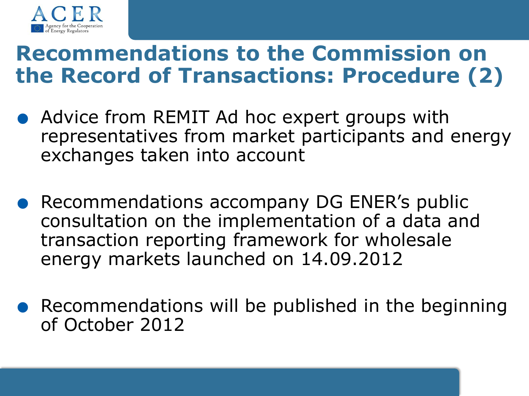

# **Recommendations to the Commission on**

- **the Record of Transactions: Procedure (2)**<br>
 Advice from REMIT Ad hoc expert groups with<br>
representatives from market participants and energy representatives from market participants and energy exchanges taken into account
	- . Recommendations accompany DG ENER's public consultation on the implementation of a data and transaction reporting framework for wholesale energy markets launched on 14.09.2012
	- **.** Recommendations will be published in the beginning of October 2012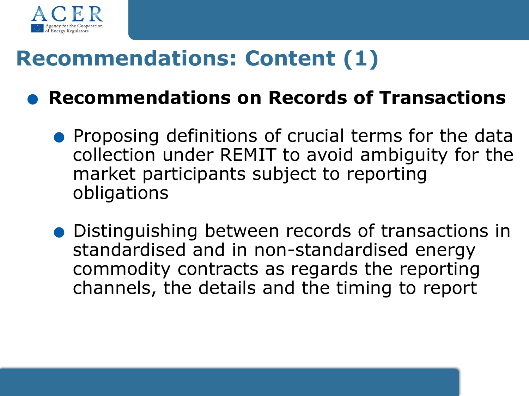

- **Recommendations: Content (1)**<br>  **Recommendations on Records of Transactions** Recommendations on Records of Transactions<br>• Proposing definitions of crucial terms for the data
	- collection under REMIT to avoid ambiguity for the market participants subject to reporting obligations
	- .Distinguishing between records of transactions in standardised and in non-standardised energy commodity contracts as regards the reporting channels, the details and the timing to report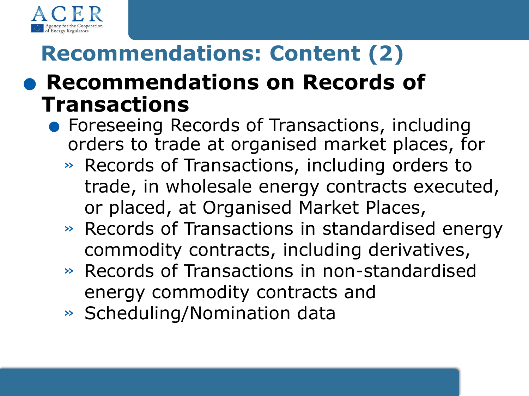

# **Recommendations: Content (2) Recommendations: Content (2)**<br> **• Recommendations on Records of**

# **Transactions**

- **Foreseeing Records of Transactions, including** orders to trade at organised market places, for
	- » Records of Transactions, including orders to trade, in wholesale energy contracts executed, or placed, at Organised Market Places,
	- » Records of Transactions in standardised energy commodity contracts, including derivatives,
	- » Records of Transactions in non-standardised energy commodity contracts and
	- » Scheduling/Nomination data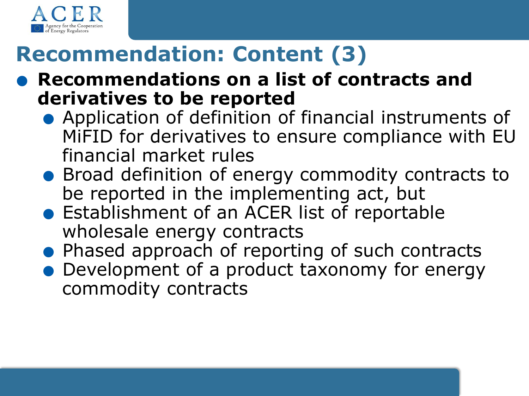

# **Recommendation: Content (3)**

- Recommendation: Content (3)<br>• Recommendations on a list of contracts and<br>derivatives to be reported **derivatives to be reported Recommendations on a list of contracts and<br>derivatives to be reported<br>•** Application of definition of financial instruments of
	- MiFID for derivatives to ensure compliance with EU financial market rules MiFID for derivatives to ensure compliance with EU<br>financial market rules<br>• Broad definition of energy commodity contracts to
	- be reported in the implementing act, but • Broad definition of energy commodity contra<br>be reported in the implementing act, but<br>• Establishment of an ACER list of reportable<br>wholesale energy contracts
	- wholesale energy contracts • Establishment of an ACER list of reportable<br>wholesale energy contracts<br>• Phased approach of reporting of such contracts
	-
	- Development of a product taxonomy for energy commodity contracts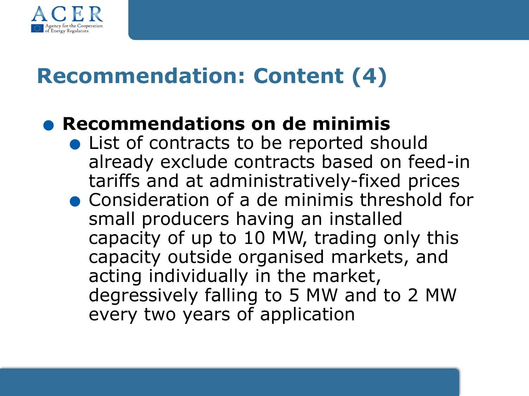

# **Recommendation: Content (4)**

#### .**Recommendations on de minimis**

- List of contracts to be reported should already exclude contracts based on feed-in<br>tariffs and at administratively-fixed prices<br>• Consideration of a de minimis threshold for<br>small producers baying an installed tariffs and at administratively-fixed prices
	- small producers having an installed capacity of up to 10 MW, trading only this capacity outside organised markets, and acting individually in the market, degressively falling to 5 MW and to 2 MW every two years of application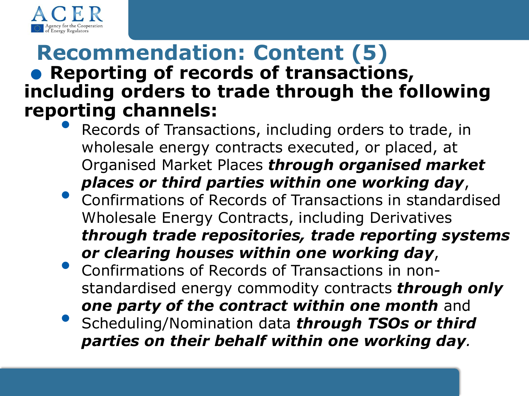

# **Recommendation: Content (5) Recommendation: Content (5)**<br>• Reporting of records of transactions, **including orders to trade through the following reporting channels:**

- Records of Transactions, including orders to trade, in wholesale energy contracts executed, or placed, at Organised Market Places *through organised market places or third parties within one working day*,
- **Confirmations of Records of Transactions in standardised** Wholesale Energy Contracts, including Derivatives *through trade repositories, trade reporting systems or clearing houses within one working day*,
- Confirmations of Records of Transactions in nonstandardised energy commodity contracts *through only one party of the contract within one month* and • Scheduling/Nomination data *through TSOs or third parties on their behalf within one working day.*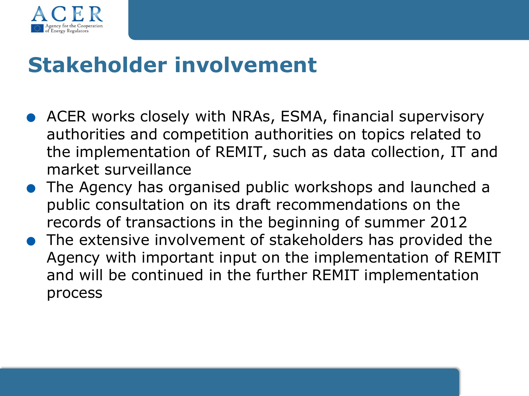

# **Stakeholder involvement**

- . ACER works closely with NRAs, ESMA, financial supervisory authorities and competition authorities on topics related to the implementation of REMIT, such as data collection, IT and market surveillance
- . The Agency has organised public workshops and launched a public consultation on its draft recommendations on the records of transactions in the beginning of summer 2012
- . The extensive involvement of stakeholders has provided the Agency with important input on the implementation of REMIT and will be continued in the further REMIT implementation process